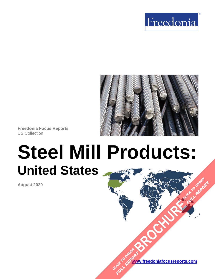



**Freedonia Focus Reports** US Collection

# **Steel Mill Products: United States**

**August 2020**

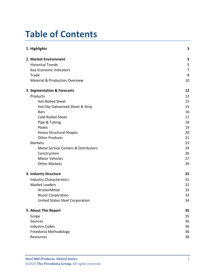# **Table of Contents**

| 1. Highlights                                   | 3              |
|-------------------------------------------------|----------------|
| 2. Market Environment                           | 5              |
| <b>Historical Trends</b>                        | 5              |
| Key Economic Indicators                         | $\overline{7}$ |
| Trade                                           | 8              |
| <b>Material &amp; Production Overview</b>       | 10             |
| 3. Segmentation & Forecasts                     | 12             |
| Products                                        | 12             |
| <b>Hot-Rolled Sheet</b>                         | 15             |
| Hot-Dip Galvanized Sheet & Strip                | 15             |
| <b>Bars</b>                                     | 16             |
| Cold-Rolled Sheet                               | 17             |
| Pipe & Tubing                                   | 18             |
| Plates                                          | 19             |
| <b>Heavy Structural Shapes</b>                  | 20             |
| <b>Other Products</b>                           | 21             |
| Markets                                         | 23             |
| <b>Metal Service Centers &amp; Distributors</b> | 24             |
| Construction                                    | 26             |
| <b>Motor Vehicles</b>                           | 27             |
| <b>Other Markets</b>                            | 29             |
| 4. Industry Structure                           | 31             |
| <b>Industry Characteristics</b>                 | 31             |
| <b>Market Leaders</b>                           | 32             |
| ArcelorMittal                                   | 33             |
| <b>Nucor Corporation</b>                        | 33             |
| <b>United States Steel Corporation</b>          | 34             |
| 5. About This Report                            | 35             |
| Scope                                           | 35             |
| Sources                                         | 36             |
| <b>Industry Codes</b>                           | 36             |
| Freedonia Methodology                           | 36             |
| Resources                                       | 38             |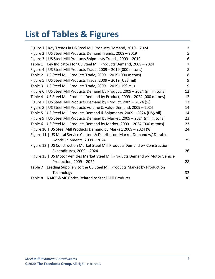# **List of Tables & Figures**

| Figure 1   Key Trends in US Steel Mill Products Demand, 2019 - 2024              | 3              |
|----------------------------------------------------------------------------------|----------------|
| Figure 2   US Steel Mill Products Demand Trends, 2009 - 2019                     | 5              |
| Figure 3   US Steel Mill Products Shipments Trends, 2009 - 2019                  | 6              |
| Table 1   Key Indicators for US Steel Mill Products Demand, 2009 - 2024          | $\overline{7}$ |
| Figure 4   US Steel Mill Products Trade, 2009 - 2019 (000 m tons)                | 8              |
| Table 2   US Steel Mill Products Trade, 2009 - 2019 (000 m tons)                 | 8              |
| Figure 5   US Steel Mill Products Trade, 2009 - 2019 (US\$ mil)                  | 9              |
| Table 3   US Steel Mill Products Trade, 2009 - 2019 (US\$ mil)                   | 9              |
| Figure 6   US Steel Mill Products Demand by Product, 2009 - 2024 (mil m tons)    | 12             |
| Table 4   US Steel Mill Products Demand by Product, 2009 - 2024 (000 m tons)     | 12             |
| Figure 7   US Steel Mill Products Demand by Product, 2009 - 2024 (%)             | 13             |
| Figure 8   US Steel Mill Products Volume & Value Demand, 2009 - 2024             | 14             |
| Table 5   US Steel Mill Products Demand & Shipments, 2009 - 2024 (US\$ bil)      | 14             |
| Figure 9   US Steel Mill Products Demand by Market, 2009 - 2024 (mil m tons)     | 23             |
| Table 6   US Steel Mill Products Demand by Market, 2009 - 2024 (000 m tons)      | 23             |
| Figure 10   US Steel Mill Products Demand by Market, 2009 - 2024 (%)             | 24             |
| Figure 11   US Metal Service Centers & Distributors Market Demand w/ Durable     |                |
| Goods Shipments, 2009 - 2024                                                     | 25             |
| Figure 12   US Construction Market Steel Mill Products Demand w/ Construction    |                |
| Expenditures, 2009 - 2024                                                        | 26             |
| Figure 13   US Motor Vehicles Market Steel Mill Products Demand w/ Motor Vehicle |                |
| Production, 2009 - 2024                                                          | 28             |
| Table 7   Leading Suppliers to the US Steel Mill Products Market by Production   |                |
| Technology                                                                       | 32             |
| Table 8   NAICS & SIC Codes Related to Steel Mill Products                       | 36             |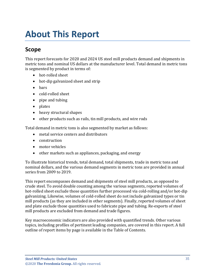# <span id="page-3-0"></span>**About This Report**

# <span id="page-3-1"></span>**Scope**

This report forecasts for 2020 and 2024 US steel mill products demand and shipments in metric tons and nominal US dollars at the manufacturer level. Total demand in metric tons is segmented by product in terms of:

- hot-rolled sheet
- hot-dip galvanized sheet and strip
- bars
- cold-rolled sheet
- pipe and tubing
- plates
- heavy structural shapes
- other products such as rails, tin mill products, and wire rods

Total demand in metric tons is also segmented by market as follows:

- metal service centers and distributors
- construction
- motor vehicles
- other markets such as appliances, packaging, and energy

To illustrate historical trends, total demand, total shipments, trade in metric tons and nominal dollars, and the various demand segments in metric tons are provided in annual series from 2009 to 2019.

This report encompasses demand and shipments of steel mill products, as opposed to crude steel. To avoid double counting among the various segments, reported volumes of hot-rolled sheet exclude those quantities further processed via cold-rolling and/or hot-dip galvanizing. Likewise, volumes of cold-rolled sheet do not include galvanized types or tin mill products (as they are included in other segments). Finally, reported volumes of sheet and plate exclude those quantities used to fabricate pipe and tubing. Re-exports of steel mill products are excluded from demand and trade figures.

Key macroeconomic indicators are also provided with quantified trends. Other various topics, including profiles of pertinent leading companies, are covered in this report. A full outline of report items by page is available in the Table of Contents.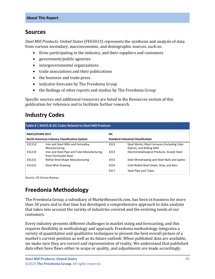## <span id="page-4-0"></span>**Sources**

*Steel Mill Products: United States* (FF65013) represents the synthesis and analysis of data from various secondary, macroeconomic, and demographic sources, such as:

- firms participating in the industry, and their suppliers and customers
- government/public agencies
- intergovernmental organizations
- trade associations and their publications
- the business and trade press
- indicator forecasts by The Freedonia Group
- the findings of other reports and studies by The Freedonia Group

Specific sources and additional resources are listed in the Resources section of this publication for reference and to facilitate further research.

# <span id="page-4-1"></span>**Industry Codes**

<span id="page-4-3"></span>

| <b>NAICS/SCIAN 2017</b><br>North American Industry Classification System |                                                                    | <b>SIC</b>                                |                                                                          |
|--------------------------------------------------------------------------|--------------------------------------------------------------------|-------------------------------------------|--------------------------------------------------------------------------|
|                                                                          |                                                                    | <b>Standard Industrial Classification</b> |                                                                          |
| 331110                                                                   | Iron and Steel Mills and Ferroalloy<br>Manufacturing               | 3312                                      | Steel Works, Blast Furnaces (Including Coke<br>Ovens), and Rolling Mills |
| 331210                                                                   | Iron and Steel Pipe and Tube Manufacturing<br>from Purchased Steel | 3313                                      | Electrometallurgical Products, Except Steel                              |
| 331221                                                                   | Rolled Steel Shape Manufacturing                                   | 3315                                      | Steel Wiredrawing and Steel Nails and Spikes                             |
| 331222                                                                   | <b>Steel Wire Drawing</b>                                          | 3316                                      | Cold-Rolled Steel Sheet, Strip, and Bars                                 |
|                                                                          |                                                                    | 3317                                      | Steel Pipe and Tubes                                                     |

Source: US Census Bureau

# <span id="page-4-2"></span>**Freedonia Methodology**

The Freedonia Group, a subsidiary of MarketResearch.com, has been in business for more than 30 years and in that time has developed a comprehensive approach to data analysis that takes into account the variety of industries covered and the evolving needs of our customers.

Every industry presents different challenges in market sizing and forecasting, and this requires flexibility in methodology and approach. Freedonia methodology integrates a variety of quantitative and qualitative techniques to present the best overall picture of a market's current position as well as its future outlook: When published data are available, we make sure they are correct and representative of reality. We understand that published data often have flaws either in scope or quality, and adjustments are made accordingly.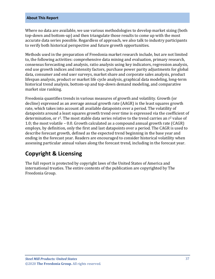#### **About This Report**

Where no data are available, we use various methodologies to develop market sizing (both top-down and bottom-up) and then triangulate those results to come up with the most accurate data series possible. Regardless of approach, we also talk to industry participants to verify both historical perspective and future growth opportunities.

Methods used in the preparation of Freedonia market research include, but are not limited to, the following activities: comprehensive data mining and evaluation, primary research, consensus forecasting and analysis, ratio analysis using key indicators, regression analysis, end use growth indices and intensity factors, purchase power parity adjustments for global data, consumer and end user surveys, market share and corporate sales analysis, product lifespan analysis, product or market life cycle analysis, graphical data modeling, long-term historical trend analysis, bottom-up and top-down demand modeling, and comparative market size ranking.

Freedonia quantifies trends in various measures of growth and volatility. Growth (or decline) expressed as an average annual growth rate (AAGR) is the least squares growth rate, which takes into account all available datapoints over a period. The volatility of datapoints around a least squares growth trend over time is expressed via the coefficient of determination, or  $r^2$ . The most stable data series relative to the trend carries an  $r^2$  value of 1.0; the most volatile – 0.0. Growth calculated as a compound annual growth rate (CAGR) employs, by definition, only the first and last datapoints over a period. The CAGR is used to describe forecast growth, defined as the expected trend beginning in the base year and ending in the forecast year. Readers are encouraged to consider historical volatility when assessing particular annual values along the forecast trend, including in the forecast year.

# **Copyright & Licensing**

The full report is protected by copyright laws of the United States of America and international treaties. The entire contents of the publication are copyrighted by The Freedonia Group.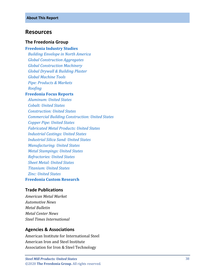### <span id="page-6-0"></span>**Resources**

#### **The Freedonia Group**

### **[Freedonia Industry Studies](http://www.freedoniagroup.com/Home.aspx?ReferrerId=FL-Focus)**

 *[Building Envelope in North America](http://www.freedoniagroup.com/DocumentDetails.aspx?ReferrerId=FL-FOCUS&studyid=3725) [Global Construction Aggregates](http://www.freedoniagroup.com/DocumentDetails.aspx?ReferrerId=FL-FOCUS&studyid=3742) [Global Construction Machinery](http://www.freedoniagroup.com/DocumentDetails.aspx?ReferrerId=FL-FOCUS&studyid=3728) [Global Drywall & Building Plaster](http://www.freedoniagroup.com/DocumentDetails.aspx?ReferrerId=FL-FOCUS&studyid=3768) [Global Machine Tools](http://www.freedoniagroup.com/DocumentDetails.aspx?ReferrerId=FL-FOCUS&studyid=3806) [Pipe: Products & Markets](http://www.freedoniagroup.com/DocumentDetails.aspx?ReferrerId=FL-FOCUS&studyid=3675) [Roofing](http://www.freedoniagroup.com/DocumentDetails.aspx?ReferrerId=FL-FOCUS&studyid=3743)*

#### **[Freedonia Focus Reports](https://www.freedoniafocusreports.com/redirect.asp?progid=89534&url=/)**

 *[Aluminum: United States](https://www.freedoniafocusreports.com/Aluminum-United-States-FF65010/?progid=89534) [Cobalt: United States](https://www.freedoniafocusreports.com/Cobalt-United-States-FF65034/?progid=89534) [Construction: United States](https://www.freedoniafocusreports.com/Construction-United-States-FF60054/?progid=89534) [Commercial Building Construction: United States](https://www.freedoniafocusreports.com/Commercial-Building-Construction-United-States-FF60032/?progid=89534) [Copper Pipe: United States](https://www.freedoniafocusreports.com/Copper-Pipe-United-States-FF60018/?progid=89534) [Fabricated Metal Products: United States](https://www.freedoniafocusreports.com/Fabricated-Metal-Products-United-States-FF70027/?progid=89534) [Industrial Castings: United States](https://www.freedoniafocusreports.com/Industrial-Castings-United-States-FF65026/?progid=89534) [Industrial Silica Sand: United States](https://www.freedoniafocusreports.com/Industrial-Silica-Sand-United-States-FF65031/?progid=89534) [Manufacturing: United States](https://www.freedoniafocusreports.com/Manufacturing-United-States-FF70032/?progid=89534) [Metal Stampings: United States](https://www.freedoniafocusreports.com/Metal-Stampings-United-States-FF70014/?progid=89534) [Refractories: United States](https://www.freedoniafocusreports.com/Refractories-United-States-FF60037/?progid=89534) [Sheet Metal: United States](https://www.freedoniafocusreports.com/Sheet-Metal-United-States-FF70016/?progid=89534) [Titanium: United States](https://www.freedoniafocusreports.com/Titanium-United-States-FF65014/?progid=89534) [Zinc: United States](https://www.freedoniafocusreports.com/Zinc-United-States-FF65015/?progid=89534)* **[Freedonia Custom Research](http://www.freedoniagroup.com/CustomResearch.aspx?ReferrerId=FL-Focus)**

### **Trade Publications**

*American Metal Market Automotive News Metal Bulletin Metal Center News Steel Times International*

### **Agencies & Associations**

American Institute for International Steel American Iron and Steel Institute Association for Iron & Steel Technology